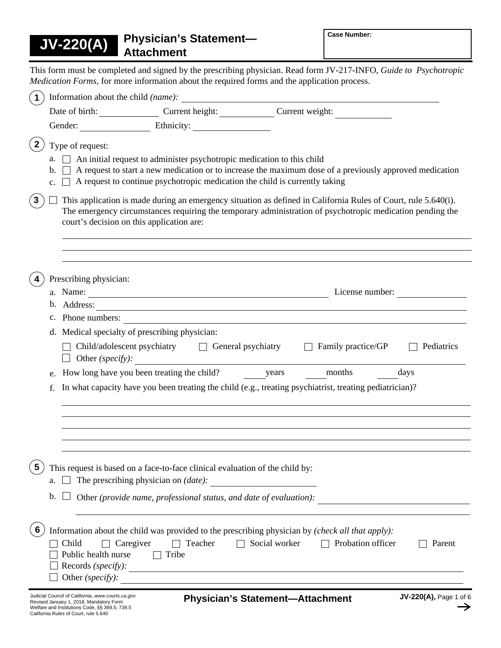**Attachment JV-220(A)**

Welfare and Institutions Code, §§ 369.5; 739.5 California Rules of Court, rule 5.640

**Physician's Statement—** 

This form must be completed and signed by the prescribing physician. Read form JV-217-INFO, *Guide to Psychotropic Medication Forms,* for more information about the required forms and the application process.

| $\mathbf 1$             |                                                                                              |                                                                                                                                                            |                                                                                                                                                                                                                             |                        |
|-------------------------|----------------------------------------------------------------------------------------------|------------------------------------------------------------------------------------------------------------------------------------------------------------|-----------------------------------------------------------------------------------------------------------------------------------------------------------------------------------------------------------------------------|------------------------|
|                         |                                                                                              | Date of birth: Current height: Current height:                                                                                                             |                                                                                                                                                                                                                             |                        |
|                         |                                                                                              |                                                                                                                                                            |                                                                                                                                                                                                                             |                        |
| $\mathbf{2}$            | Type of request:<br>a.<br>$b.$ $\perp$<br>$c_{\cdot}$                                        | An initial request to administer psychotropic medication to this child<br>A request to continue psychotropic medication the child is currently taking      | A request to start a new medication or to increase the maximum dose of a previously approved medication                                                                                                                     |                        |
| $\mathbf{3}$            |                                                                                              | court's decision on this application are:                                                                                                                  | This application is made during an emergency situation as defined in California Rules of Court, rule 5.640(i).<br>The emergency circumstances requiring the temporary administration of psychotropic medication pending the |                        |
|                         | Prescribing physician:                                                                       |                                                                                                                                                            |                                                                                                                                                                                                                             |                        |
|                         | b. Address:                                                                                  | and the control of the control of the control of the control of the control of the control of the control of the                                           |                                                                                                                                                                                                                             |                        |
|                         |                                                                                              |                                                                                                                                                            | c. Phone numbers:                                                                                                                                                                                                           |                        |
|                         | Other (specify):<br>$\Box$                                                                   | d. Medical specialty of prescribing physician:<br>$Child/adolescent$ psychiatry $\Box$ General psychiatry                                                  | Family practice/GP                                                                                                                                                                                                          | Pediatrics             |
|                         |                                                                                              | e. How long have you been treating the child? years months                                                                                                 |                                                                                                                                                                                                                             | days                   |
| f.                      |                                                                                              |                                                                                                                                                            | In what capacity have you been treating the child (e.g., treating psychiatrist, treating pediatrician)?                                                                                                                     |                        |
|                         |                                                                                              |                                                                                                                                                            |                                                                                                                                                                                                                             |                        |
| $\overline{\mathbf{5}}$ | $a. \Box$                                                                                    | This request is based on a face-to-face clinical evaluation of the child by:<br>The prescribing physician on <i>(date)</i> :                               |                                                                                                                                                                                                                             |                        |
|                         | b.                                                                                           | Other (provide name, professional status, and date of evaluation):                                                                                         |                                                                                                                                                                                                                             |                        |
| 6                       | Child<br>$\Box$ Caregiver<br>Public health nurse<br>Records (specify):<br>Other (specify):   | Teacher<br>$\mathbf{I}$<br>Tribe<br><u> 1989 - Johann Stoff, deutscher Stoffen und der Stoffen und der Stoffen und der Stoffen und der Stoffen und der</u> | Information about the child was provided to the prescribing physician by (check all that apply):<br>Social worker<br>Probation officer                                                                                      | Parent                 |
|                         | Judicial Council of California, www.courts.ca.gov<br>Revised January 1, 2018, Mandatory Form |                                                                                                                                                            | <b>Physician's Statement-Attachment</b>                                                                                                                                                                                     | JV-220(A), Page 1 of 6 |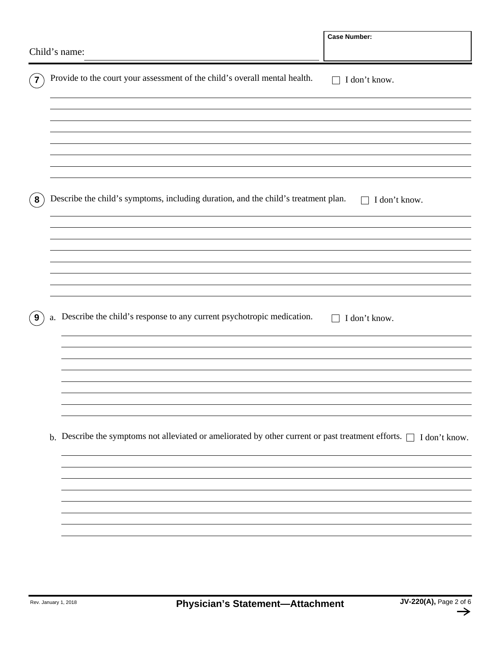|                |                                                                                           | Child's name:                                                                                                           | <b>Case Number:</b>           |  |  |  |  |  |
|----------------|-------------------------------------------------------------------------------------------|-------------------------------------------------------------------------------------------------------------------------|-------------------------------|--|--|--|--|--|
| $\overline{7}$ |                                                                                           | Provide to the court your assessment of the child's overall mental health.                                              | I don't know.<br>$\Box$       |  |  |  |  |  |
|                |                                                                                           |                                                                                                                         |                               |  |  |  |  |  |
|                |                                                                                           |                                                                                                                         |                               |  |  |  |  |  |
| $\bf{8}$       |                                                                                           | Describe the child's symptoms, including duration, and the child's treatment plan.                                      | I don't know.<br>$\mathbf{L}$ |  |  |  |  |  |
|                |                                                                                           |                                                                                                                         |                               |  |  |  |  |  |
|                |                                                                                           |                                                                                                                         |                               |  |  |  |  |  |
| 9              | a. Describe the child's response to any current psychotropic medication.<br>I don't know. |                                                                                                                         |                               |  |  |  |  |  |
|                |                                                                                           |                                                                                                                         |                               |  |  |  |  |  |
|                |                                                                                           |                                                                                                                         |                               |  |  |  |  |  |
|                |                                                                                           | b. Describe the symptoms not alleviated or ameliorated by other current or past treatment efforts. $\Box$ I don't know. |                               |  |  |  |  |  |
|                |                                                                                           |                                                                                                                         |                               |  |  |  |  |  |
|                |                                                                                           |                                                                                                                         |                               |  |  |  |  |  |
|                |                                                                                           |                                                                                                                         |                               |  |  |  |  |  |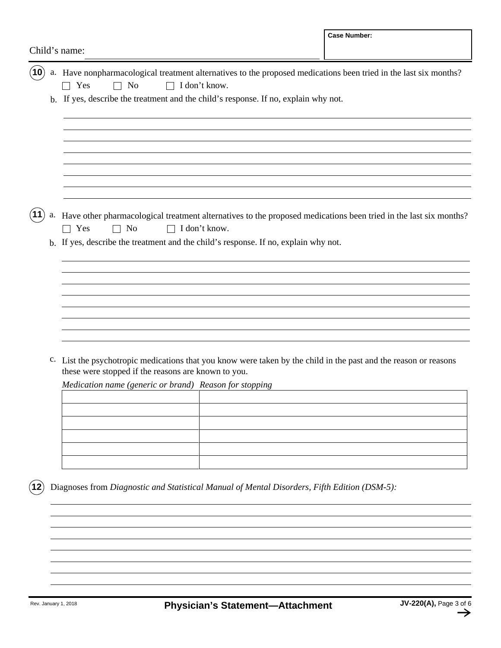|               |  |                                                                                                                                                                                                                                                     |               | <b>Case Number:</b>                                                                                                 |  |  |  |  |
|---------------|--|-----------------------------------------------------------------------------------------------------------------------------------------------------------------------------------------------------------------------------------------------------|---------------|---------------------------------------------------------------------------------------------------------------------|--|--|--|--|
| Child's name: |  |                                                                                                                                                                                                                                                     |               |                                                                                                                     |  |  |  |  |
| (10)          |  | a. Have nonpharmacological treatment alternatives to the proposed medications been tried in the last six months?<br>$\Box$ I don't know.<br>$\Box$ No<br>Yes<br>b. If yes, describe the treatment and the child's response. If no, explain why not. |               |                                                                                                                     |  |  |  |  |
|               |  |                                                                                                                                                                                                                                                     |               |                                                                                                                     |  |  |  |  |
| (11)          |  | Yes<br>No<br>$\Box$                                                                                                                                                                                                                                 | I don't know. | a. Have other pharmacological treatment alternatives to the proposed medications been tried in the last six months? |  |  |  |  |
|               |  | b. If yes, describe the treatment and the child's response. If no, explain why not.                                                                                                                                                                 |               |                                                                                                                     |  |  |  |  |
|               |  |                                                                                                                                                                                                                                                     |               |                                                                                                                     |  |  |  |  |
|               |  |                                                                                                                                                                                                                                                     |               |                                                                                                                     |  |  |  |  |
|               |  | c. List the psychotropic medications that you know were taken by the child in the past and the reason or reasons<br>these were stopped if the reasons are known to you.                                                                             |               |                                                                                                                     |  |  |  |  |
|               |  | Medication name (generic or brand) Reason for stopping                                                                                                                                                                                              |               |                                                                                                                     |  |  |  |  |
|               |  |                                                                                                                                                                                                                                                     |               |                                                                                                                     |  |  |  |  |
|               |  |                                                                                                                                                                                                                                                     |               |                                                                                                                     |  |  |  |  |
| (12)          |  | Diagnoses from Diagnostic and Statistical Manual of Mental Disorders, Fifth Edition (DSM-5):                                                                                                                                                        |               |                                                                                                                     |  |  |  |  |
|               |  |                                                                                                                                                                                                                                                     |               |                                                                                                                     |  |  |  |  |
|               |  |                                                                                                                                                                                                                                                     |               |                                                                                                                     |  |  |  |  |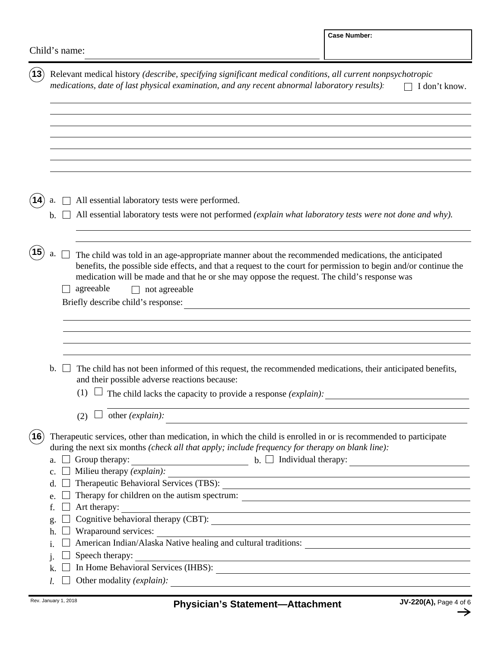| (13)         | Relevant medical history (describe, specifying significant medical conditions, all current nonpsychotropic<br>medications, date of last physical examination, and any recent abnormal laboratory results): |                |                                                                                                                                                                                                                                                                                                                                                                                                                                                                                                                                                                                                                                                                                                                                                          |  |  |  |  |
|--------------|------------------------------------------------------------------------------------------------------------------------------------------------------------------------------------------------------------|----------------|----------------------------------------------------------------------------------------------------------------------------------------------------------------------------------------------------------------------------------------------------------------------------------------------------------------------------------------------------------------------------------------------------------------------------------------------------------------------------------------------------------------------------------------------------------------------------------------------------------------------------------------------------------------------------------------------------------------------------------------------------------|--|--|--|--|
|              |                                                                                                                                                                                                            |                | All essential laboratory tests were performed.                                                                                                                                                                                                                                                                                                                                                                                                                                                                                                                                                                                                                                                                                                           |  |  |  |  |
|              | b.                                                                                                                                                                                                         |                | All essential laboratory tests were not performed (explain what laboratory tests were not done and why).                                                                                                                                                                                                                                                                                                                                                                                                                                                                                                                                                                                                                                                 |  |  |  |  |
|              | а.                                                                                                                                                                                                         |                | The child was told in an age-appropriate manner about the recommended medications, the anticipated<br>benefits, the possible side effects, and that a request to the court for permission to begin and/or continue the<br>medication will be made and that he or she may oppose the request. The child's response was<br>agreeable<br>not agreeable<br>Briefly describe child's response:<br><u> 1989 - Jan Stein, amerikansk politiker (d. 1989)</u>                                                                                                                                                                                                                                                                                                    |  |  |  |  |
|              | b.                                                                                                                                                                                                         |                | The child has not been informed of this request, the recommended medications, their anticipated benefits,<br>and their possible adverse reactions because:<br>The child lacks the capacity to provide a response (explain):<br>(1)<br>other (explain):<br>(2)                                                                                                                                                                                                                                                                                                                                                                                                                                                                                            |  |  |  |  |
| $({\bf 16})$ | a.<br>$c_{\cdot}$<br>d.<br>e.<br>f.<br>g.<br>h.<br>1.<br>1.                                                                                                                                                | $\blacksquare$ | The rapeutic services, other than medication, in which the child is enrolled in or is recommended to participate<br>during the next six months (check all that apply; include frequency for therapy on blank line):<br>$\blacksquare$ b. $\Box$ Individual therapy: $\Box$<br>Group therapy:<br>Milieu therapy (explain):<br><u> 1989 - Johann Barn, mars ann an t-Amhain Aonaichte ann an t-Aonaichte ann an t-Aonaichte ann an t-Aonaichte a</u><br>Therapy for children on the autism spectrum:<br>Art therapy:<br>Wraparound services:<br><u> 1989 - Johann Stoff, deutscher Stoff, der Stoff, der Stoff, der Stoff, der Stoff, der Stoff, der Stoff, der S</u><br>American Indian/Alaska Native healing and cultural traditions:<br>Speech therapy: |  |  |  |  |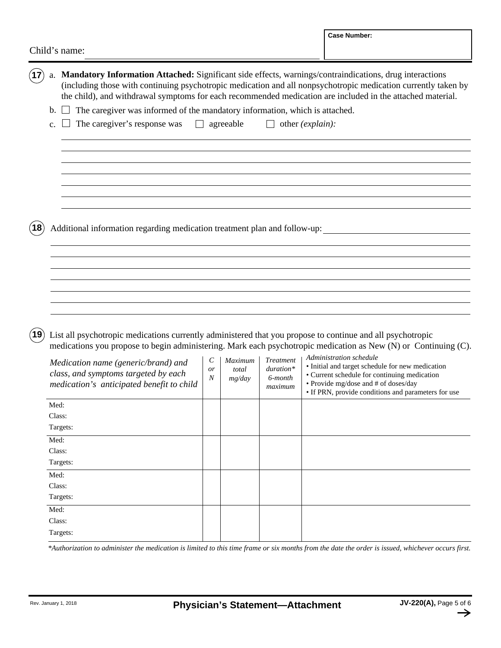|               |                                                                                                                                                                                                                                                                                                                                                                                 |              |                            |                                                       |                  | <b>Case Number:</b>                                                                                                                                                                             |  |
|---------------|---------------------------------------------------------------------------------------------------------------------------------------------------------------------------------------------------------------------------------------------------------------------------------------------------------------------------------------------------------------------------------|--------------|----------------------------|-------------------------------------------------------|------------------|-------------------------------------------------------------------------------------------------------------------------------------------------------------------------------------------------|--|
| Child's name: |                                                                                                                                                                                                                                                                                                                                                                                 |              |                            |                                                       |                  |                                                                                                                                                                                                 |  |
| (17)          | a. Mandatory Information Attached: Significant side effects, warnings/contraindications, drug interactions<br>the child), and withdrawal symptoms for each recommended medication are included in the attached material.<br>The caregiver was informed of the mandatory information, which is attached.<br>b.<br>The caregiver's response was<br>$\mathsf{L}$<br>$\mathbf{c}$ . |              | agreeable                  |                                                       | other (explain): | (including those with continuing psychotropic medication and all nonpsychotropic medication currently taken by                                                                                  |  |
| $({\bf 18})$  | Additional information regarding medication treatment plan and follow-up:                                                                                                                                                                                                                                                                                                       |              |                            |                                                       |                  |                                                                                                                                                                                                 |  |
| $({\bf 19})$  | List all psychotropic medications currently administered that you propose to continue and all psychotropic<br>medications you propose to begin administering. Mark each psychotropic medication as New (N) or Continuing (C).<br>Administration schedule                                                                                                                        |              |                            |                                                       |                  |                                                                                                                                                                                                 |  |
|               | Medication name (generic/brand) and<br>class, and symptoms targeted by each<br>medication's anticipated benefit to child                                                                                                                                                                                                                                                        | C<br>or<br>N | Maximum<br>total<br>mg/day | <b>Treatment</b><br>$duration*$<br>6-month<br>maximum |                  | · Initial and target schedule for new medication<br>• Current schedule for continuing medication<br>• Provide mg/dose and # of doses/day<br>• If PRN, provide conditions and parameters for use |  |
|               | Med:<br>Class:<br>Targets:                                                                                                                                                                                                                                                                                                                                                      |              |                            |                                                       |                  |                                                                                                                                                                                                 |  |
|               | Med:<br>Class:<br>Targets:                                                                                                                                                                                                                                                                                                                                                      |              |                            |                                                       |                  |                                                                                                                                                                                                 |  |
|               | Med:<br>Class:<br>Targets:                                                                                                                                                                                                                                                                                                                                                      |              |                            |                                                       |                  |                                                                                                                                                                                                 |  |
|               | Med:<br>Class:<br>Targets:                                                                                                                                                                                                                                                                                                                                                      |              |                            |                                                       |                  |                                                                                                                                                                                                 |  |

*\*Authorization to administer the medication is limited to this time frame or six months from the date the order is issued, whichever occurs first.*